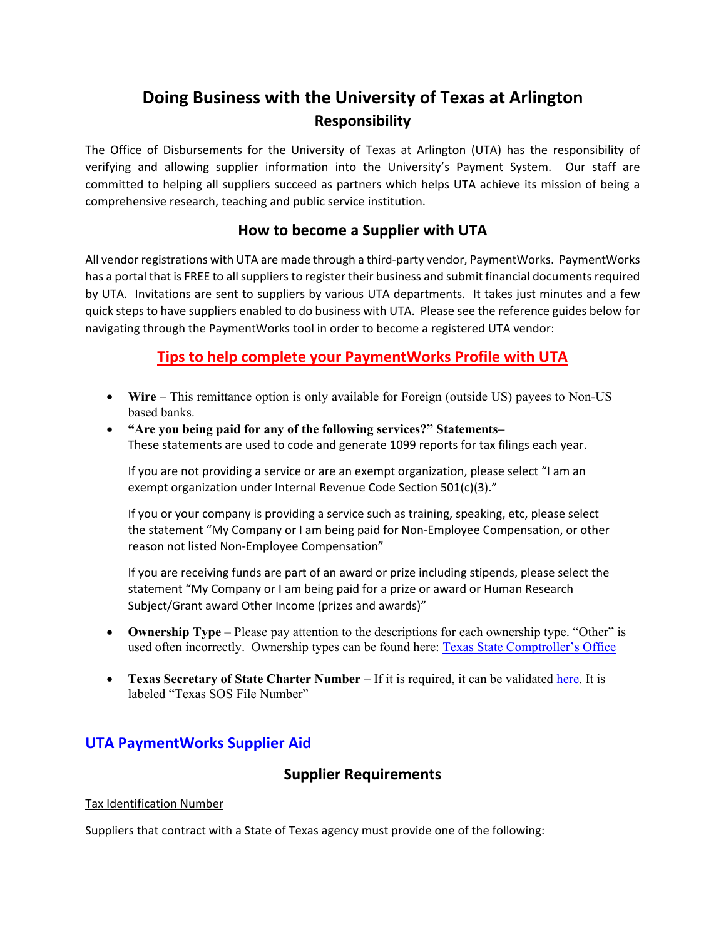# **Doing Business with the University of Texas at Arlington Responsibility**

The Office of Disbursements for the University of Texas at Arlington (UTA) has the responsibility of verifying and allowing supplier information into the University's Payment System. Our staff are committed to helping all suppliers succeed as partners which helps UTA achieve its mission of being a comprehensive research, teaching and public service institution.

# **How to become a Supplier with UTA**

All vendor registrations with UTA are made through a third-party vendor, PaymentWorks. PaymentWorks has a portal that is FREE to all suppliers to register their business and submit financial documents required by UTA. Invitations are sent to suppliers by various UTA departments. It takes just minutes and a few quick steps to have suppliers enabled to do business with UTA. Please see the reference guides below for navigating through the PaymentWorks tool in order to become a registered UTA vendor:

# **Tips to help complete your PaymentWorks Profile with UTA**

- **Wire** This remittance option is only available for Foreign (outside US) payees to Non-US based banks.
- **"Are you being paid for any of the following services?" Statements–** These statements are used to code and generate 1099 reports for tax filings each year.

If you are not providing a service or are an exempt organization, please select "I am an exempt organization under Internal Revenue Code Section 501(c)(3)."

If you or your company is providing a service such as training, speaking, etc, please select the statement "My Company or I am being paid for Non-Employee Compensation, or other reason not listed Non-Employee Compensation"

If you are receiving funds are part of an award or prize including stipends, please select the statement "My Company or I am being paid for a prize or award or Human Research Subject/Grant award Other Income (prizes and awards)"

- **Ownership Type** Please pay attention to the descriptions for each ownership type. "Other" is used often incorrectly. Ownership types can be found here: [Texas State Comptroller's Office](https://fmx.cpa.texas.gov/fm/pubs/payment/gen_prov/index.php?s=tins_codes&p=ownership)
- **Texas Secretary of State Charter Number** If it is required, it can be validated [here.](https://mycpa.cpa.state.tx.us/coa/) It is labeled "Texas SOS File Number"

# **UTA [PaymentWorks Supplier Aid](https://www.uta.edu/business-affairs/procurement/information_for_suppliers_doing_business_with_uta.php)**

# **Supplier Requirements**

### Tax Identification Number

Suppliers that contract with a State of Texas agency must provide one of the following: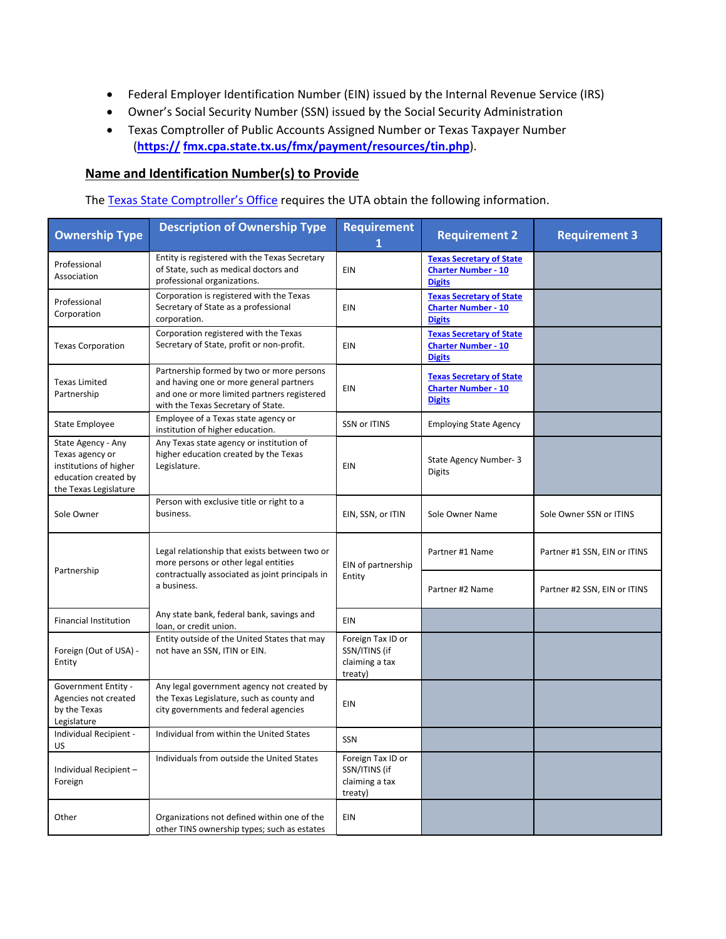- Federal Employer Identification Number (EIN) issued by the Internal Revenue Service (IRS)
- Owner's Social Security Number (SSN) issued by the Social Security Administration
- Texas Comptroller of Public Accounts Assigned Number or Texas Taxpayer Number (**[https://](https://fmx.cpa.state.tx.us/fmx/payment/resources/tin.php) [fmx.cpa.state.tx.us/fmx/payment/resources/tin.php](https://fmx.cpa.state.tx.us/fmx/payment/resources/tin.php)**).

### **Name and Identification Number(s) to Provide**

The [Texas State Comptroller's Office](https://fmx.cpa.texas.gov/fm/pubs/payment/gen_prov/index.php?s=tins_codes&p=ownership) requires the UTA obtain the following information.

| <b>Ownership Type</b>                                                                                            | <b>Description of Ownership Type</b>                                                                                                                                      | <b>Requirement</b>                                              | <b>Requirement 2</b>                                                           | <b>Requirement 3</b>         |
|------------------------------------------------------------------------------------------------------------------|---------------------------------------------------------------------------------------------------------------------------------------------------------------------------|-----------------------------------------------------------------|--------------------------------------------------------------------------------|------------------------------|
| Professional<br>Association                                                                                      | Entity is registered with the Texas Secretary<br>of State, such as medical doctors and<br>professional organizations.                                                     | EIN                                                             | <b>Texas Secretary of State</b><br><b>Charter Number - 10</b><br><b>Digits</b> |                              |
| Professional<br>Corporation                                                                                      | Corporation is registered with the Texas<br>Secretary of State as a professional<br>corporation.                                                                          | EIN                                                             | <b>Texas Secretary of State</b><br><b>Charter Number - 10</b><br><b>Digits</b> |                              |
| <b>Texas Corporation</b>                                                                                         | Corporation registered with the Texas<br>Secretary of State, profit or non-profit.                                                                                        | EIN                                                             | <b>Texas Secretary of State</b><br><b>Charter Number - 10</b><br><b>Digits</b> |                              |
| <b>Texas Limited</b><br>Partnership                                                                              | Partnership formed by two or more persons<br>and having one or more general partners<br>and one or more limited partners registered<br>with the Texas Secretary of State. | EIN                                                             | <b>Texas Secretary of State</b><br><b>Charter Number - 10</b><br><b>Digits</b> |                              |
| State Employee                                                                                                   | Employee of a Texas state agency or<br>institution of higher education.                                                                                                   | SSN or ITINS                                                    | <b>Employing State Agency</b>                                                  |                              |
| State Agency - Any<br>Texas agency or<br>institutions of higher<br>education created by<br>the Texas Legislature | Any Texas state agency or institution of<br>higher education created by the Texas<br>Legislature.                                                                         | EIN                                                             | State Agency Number-3<br><b>Digits</b>                                         |                              |
| Sole Owner                                                                                                       | Person with exclusive title or right to a<br>business.                                                                                                                    | EIN, SSN, or ITIN                                               | Sole Owner Name                                                                | Sole Owner SSN or ITINS      |
| Partnership                                                                                                      | Legal relationship that exists between two or<br>more persons or other legal entities<br>contractually associated as joint principals in<br>a business.                   | EIN of partnership<br>Entity                                    | Partner #1 Name                                                                | Partner #1 SSN, EIN or ITINS |
|                                                                                                                  |                                                                                                                                                                           |                                                                 | Partner #2 Name                                                                | Partner #2 SSN, EIN or ITINS |
| <b>Financial Institution</b>                                                                                     | Any state bank, federal bank, savings and<br>loan, or credit union.                                                                                                       | EIN                                                             |                                                                                |                              |
| Foreign (Out of USA) -<br>Entity                                                                                 | Entity outside of the United States that may<br>not have an SSN, ITIN or EIN.                                                                                             | Foreign Tax ID or<br>SSN/ITINS (if<br>claiming a tax<br>treaty) |                                                                                |                              |
| <b>Government Entity -</b><br>Agencies not created<br>by the Texas<br>Legislature                                | Any legal government agency not created by<br>the Texas Legislature, such as county and<br>city governments and federal agencies                                          | EIN                                                             |                                                                                |                              |
| Individual Recipient -<br>US                                                                                     | Individual from within the United States                                                                                                                                  | <b>SSN</b>                                                      |                                                                                |                              |
| Individual Recipient-<br>Foreign                                                                                 | Individuals from outside the United States                                                                                                                                | Foreign Tax ID or<br>SSN/ITINS (if<br>claiming a tax<br>treaty) |                                                                                |                              |
| Other                                                                                                            | Organizations not defined within one of the<br>other TINS ownership types; such as estates                                                                                | EIN                                                             |                                                                                |                              |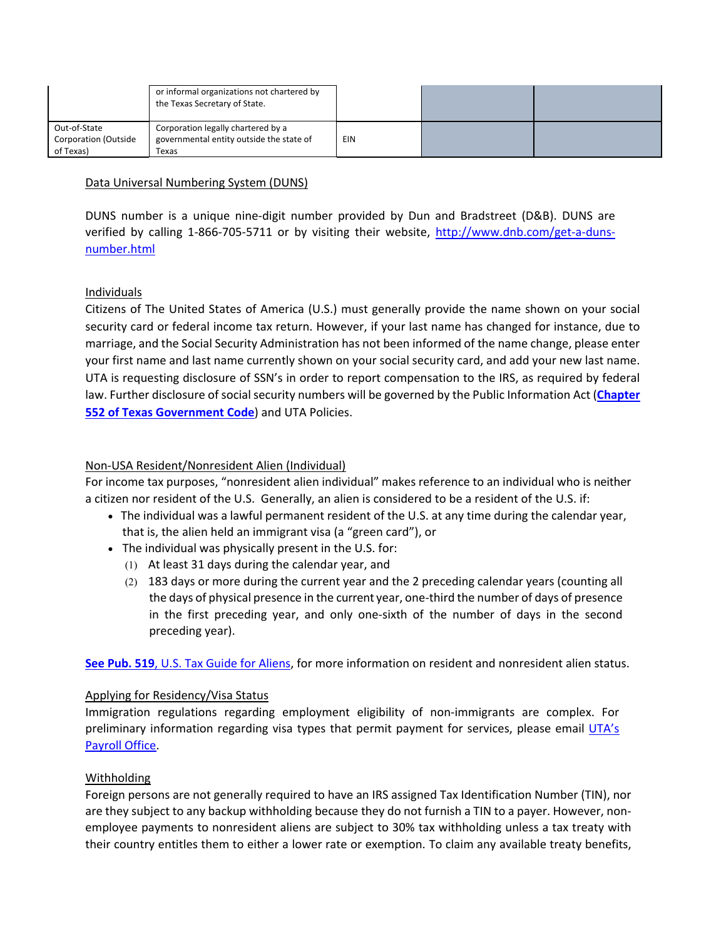|                                                          | or informal organizations not chartered by<br>the Texas Secretary of State.             |     |  |
|----------------------------------------------------------|-----------------------------------------------------------------------------------------|-----|--|
| Out-of-State<br><b>Corporation (Outside</b><br>of Texas) | Corporation legally chartered by a<br>governmental entity outside the state of<br>Texas | EIN |  |

### Data Universal Numbering System (DUNS)

DUNS number is a unique nine-digit number provided by Dun and Bradstreet (D&B). DUNS are verified by calling 1-866-705-5711 or by visiting their website, [http://www.dnb.com/get-a-duns](http://www.dnb.com/get-a-duns-number.html)[number.html](http://www.dnb.com/get-a-duns-number.html)

#### Individuals

Citizens of The United States of America (U.S.) must generally provide the name shown on your social security card or federal income tax return. However, if your last name has changed for instance, due to marriage, and the Social Security Administration has not been informed of the name change, please enter your first name and last name currently shown on your social security card, and add your new last name. UTA is requesting disclosure of SSN's in order to report compensation to the IRS, as required by federal law. Further disclosure of social security numbers will be governed by the Public Information Act (**[Chapter](http://www.statutes.legis.state.tx.us/Docs/GV/htm/GV.552.htm)  [552 of Texas Government Code](http://www.statutes.legis.state.tx.us/Docs/GV/htm/GV.552.htm)**) and UTA Policies.

#### Non-USA Resident/Nonresident Alien (Individual)

For income tax purposes, "nonresident alien individual" makes reference to an individual who is neither a citizen nor resident of the U.S. Generally, an alien is considered to be a resident of the U.S. if:

- The individual was a lawful permanent resident of the U.S. at any time during the calendar year, that is, the alien held an immigrant visa (a "green card"), or
- The individual was physically present in the U.S. for:
	- (1) At least 31 days during the calendar year, and
	- (2) 183 days or more during the current year and the 2 preceding calendar years (counting all the days of physical presence in the current year, one-third the number of days of presence in the first preceding year, and only one-sixth of the number of days in the second preceding year).

**See Pub. 519**[, U.S. Tax Guide for Aliens,](https://www.irs.gov/forms-pubs/about-publication-519) for more information on resident and nonresident alien status.

#### Applying for Residency/Visa Status

Immigration regulations regarding employment eligibility of non-immigrants are complex. For preliminary information regarding visa types that permit payment for services, please email [UTA's](mailto:payroll@uta.edu) [Payroll Office.](mailto:payroll@uta.edu)

#### Withholding

Foreign persons are not generally required to have an IRS assigned Tax Identification Number (TIN), nor are they subject to any backup withholding because they do not furnish a TIN to a payer. However, nonemployee payments to nonresident aliens are subject to 30% tax withholding unless a tax treaty with their country entitles them to either a lower rate or exemption. To claim any available treaty benefits,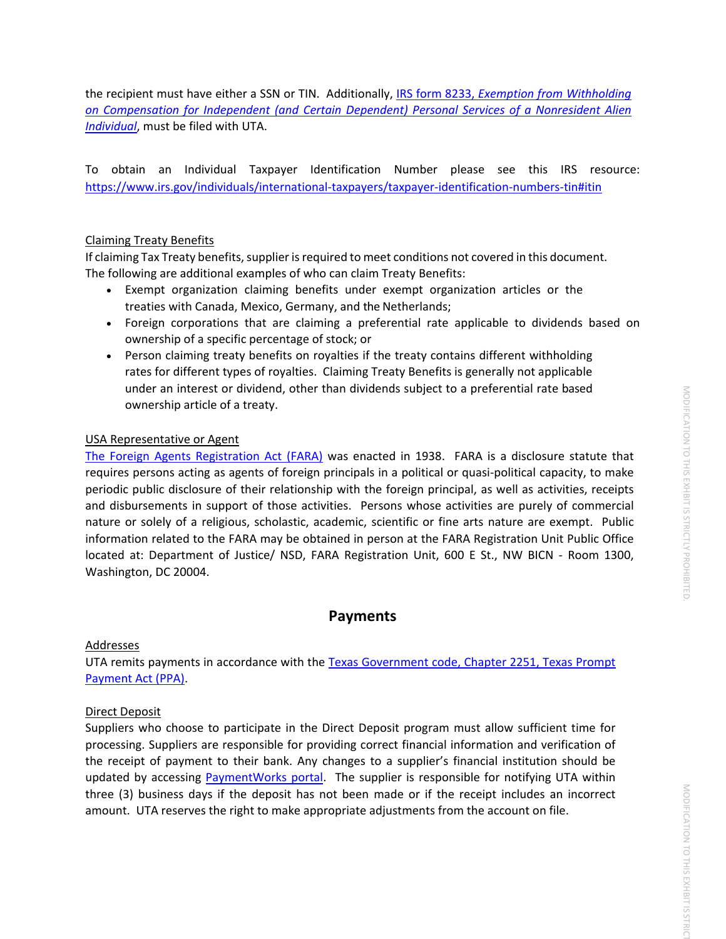the recipient must have either a SSN or TIN. Additionally, IRS form 8233, *[Exemption from Withholding](https://www.irs.gov/forms-pubs/about-form-8233)  [on Compensation for Independent \(and Certain Dependent\) Personal Services of a Nonresident Alien](https://www.irs.gov/forms-pubs/about-form-8233)  [Individual](https://www.irs.gov/forms-pubs/about-form-8233)*, must be filed with UTA.

To obtain an Individual Taxpayer Identification Number please see this IRS resource: <https://www.irs.gov/individuals/international-taxpayers/taxpayer-identification-numbers-tin#itin>

#### Claiming Treaty Benefits

If claiming Tax Treaty benefits, supplier is required to meet conditions not covered in this document. The following are additional examples of who can claim Treaty Benefits:

- Exempt organization claiming benefits under exempt organization articles or the treaties with Canada, Mexico, Germany, and the Netherlands;
- Foreign corporations that are claiming a preferential rate applicable to dividends based on ownership of a specific percentage of stock; or
- Person claiming treaty benefits on royalties if the treaty contains different withholding rates for different types of royalties. Claiming Treaty Benefits is generally not applicable under an interest or dividend, other than dividends subject to a preferential rate based ownership article of a treaty.

#### USA Representative or Agent

[The Foreign Agents Registration Act \(FARA\)](http://www.fara.gov/fara-faq.html#1) was enacted in 1938. FARA is a disclosure statute that requires persons acting as agents of foreign principals in a political or quasi-political capacity, to make periodic public disclosure of their relationship with the foreign principal, as well as activities, receipts and disbursements in support of those activities. Persons whose activities are purely of commercial nature or solely of a religious, scholastic, academic, scientific or fine arts nature are exempt. Public information related to the FARA may be obtained in person at the FARA Registration Unit Public Office located at: Department of Justice/ NSD, FARA Registration Unit, 600 E St., NW BICN - Room 1300, Washington, DC 20004.

### **Payments**

#### Addresses

UTA remits payments in accordance with the Texas Government code, Chapter 2251, Texas Prompt [Payment Act \(PPA\).](http://www.statutes.legis.state.tx.us/Docs/GV/htm/GV.2251.htm)

#### Direct Deposit

Suppliers who choose to participate in the Direct Deposit program must allow sufficient time for processing. Suppliers are responsible for providing correct financial information and verification of the receipt of payment to their bank. Any changes to a supplier's financial institution should be updated by accessing [PaymentWorks](https://www.paymentworks.com/accounts/login/) portal. The supplier is responsible for notifying UTA within three (3) business days if the deposit has not been made or if the receipt includes an incorrect amount. UTA reserves the right to make appropriate adjustments from the account on file.